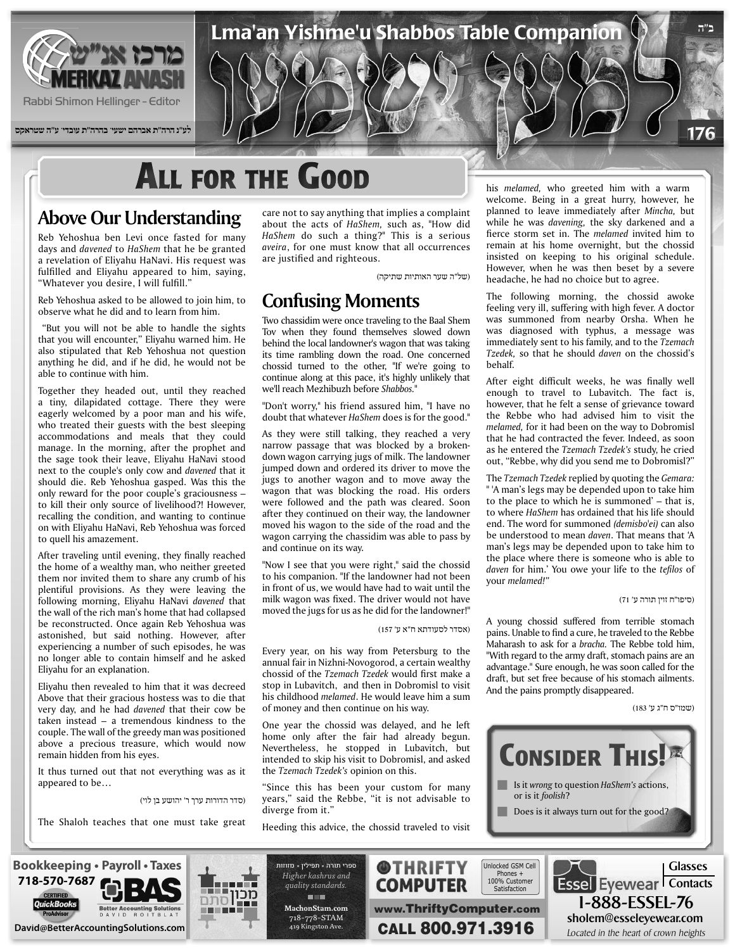

Rabbi Shimon Hellinger - Editor

**לע"נ הרה"ת אברהם ישעי' בהרה"ת עובדי' ע"ה שטראקס**

# **ALL FOR THE GOOD**

### **Above Our Understanding**

Reb Yehoshua ben Levi once fasted for many days and *davened* to *HaShem* that he be granted a revelation of Elivahu HaNavi. His request was fulfilled and Eliyahu appeared to him, saying, "Whatever you desire, I will fulfill."

Reb Yehoshua asked to be allowed to join him, to observe what he did and to learn from him.

"But you will not be able to handle the sights that you will encounter," Eliyahu warned him. He also stipulated that Reb Yehoshua not question anything he did, and if he did, he would not be able to continue with him.

Together they headed out, until they reached a tiny, dilapidated cottage. There they were eagerly welcomed by a poor man and his wife, who treated their guests with the best sleeping accommodations and meals that they could manage. In the morning, after the prophet and the sage took their leave, Eliyahu HaNavi stood next to the couple's only cow and *davened* that it should die. Reb Yehoshua gasped. Was this the only reward for the poor couple's graciousness to kill their only source of livelihood?! However, recalling the condition, and wanting to continue on with Eliyahu HaNavi, Reb Yehoshua was forced to quell his amazement.

After traveling until evening, they finally reached the home of a wealthy man, who neither greeted them nor invited them to share any crumb of his plentiful provisions. As they were leaving the following morning, Eliyahu HaNavi davened that the wall of the rich man's home that had collapsed be reconstructed. Once again Reb Yehoshua was astonished, but said nothing. However, after experiencing a number of such episodes, he was no longer able to contain himself and he asked Eliyahu for an explanation.

Eliyahu then revealed to him that it was decreed Above that their gracious hostess was to die that very day, and he had *davened* that their cow be taken instead  $-$  a tremendous kindness to the couple. The wall of the greedy man was positioned above a precious treasure, which would now remain hidden from his eyes.

It thus turned out that not everything was as it appeared to be...

(סדר הדורות ערך ר' יהושע בן לוי)

The Shaloh teaches that one must take great

care not to say anything that implies a complaint about the acts of HaShem, such as, "How did HaShem do such a thing?" This is a serious aveira, for one must know that all occurrences are justified and righteous.

(של"ה שער האותיות שתיקה)

Lma'an Yishme'u Shabbos Table Companion

#### **Confusing Moments**

Two chassidim were once traveling to the Baal Shem Tov when they found themselves slowed down behind the local landowner's wagon that was taking its time rambling down the road. One concerned chossid turned to the other, "If we're going to continue along at this pace, it's highly unlikely that we'll reach Mezhibuzh before Shabbos.'

"Don't worry," his friend assured him, "I have no doubt that whatever *HaShem* does is for the good."

As they were still talking, they reached a very down wagon carrying jugs of milk. The landowner narrow passage that was blocked by a brokenjumped down and ordered its driver to move the jugs to another wagon and to move away the wagon that was blocking the road. His orders were followed and the path was cleared. Soon after they continued on their way, the landowner moved his wagon to the side of the road and the wagon carrying the chassidim was able to pass by and continue on its way.

"Now I see that you were right," said the chossid to his companion. "If the landowner had not been in front of us, we would have had to wait until the milk wagon was fixed. The driver would not have moved the jugs for us as he did for the landowner!"

(אסדר לסעודתא ח"א ע' 157)

Every year, on his way from Petersburg to the annual fair in Nizhni-Novogorod, a certain wealthy chossid of the Tzemach Tzedek would first make a stop in Lubavitch, and then in Dobromisl to visit his childhood *melamed*. He would leave him a sum of money and then continue on his way.

One year the chossid was delayed, and he left home only after the fair had already begun. Nevertheless, he stopped in Lubavitch, but intended to skip his visit to Dobromisl, and asked the *Tzemach Tzedek's* opinion on this.

"Since this has been your custom for many years," said the Rebbe, "it is not advisable to diverge from it.'

Heeding this advice, the chossid traveled to visit

his *melamed*, who greeted him with a warm welcome. Being in a great hurry, however, he planned to leave immediately after Mincha, but while he was *davening*, the sky darkened and a fierce storm set in. The *melamed* invited him to remain at his home overnight, but the chossid insisted on keeping to his original schedule. However, when he was then beset by a severe headache, he had no choice but to agree.

**ב"ה**

176

The following morning, the chossid awoke feeling very ill, suffering with high fever. A doctor was summoned from nearby Orsha. When he was diagnosed with typhus, a message was *immediately sent to his family, and to the Tzemach* Tzedek, so that he should daven on the chossid's .behalf

After eight difficult weeks, he was finally well enough to travel to Lubavitch. The fact is, however, that he felt a sense of grievance toward the Rebbe who had advised him to visit the melamed, for it had been on the way to Dobromisl that he had contracted the fever. Indeed, as soon as he entered the Tzemach Tzedek's study, he cried out, "Rebbe, why did you send me to Dobromisl?"

The *Tzemach Tzedek* replied by quoting the *Gemara*: " 'A man's legs may be depended upon to take him to the place to which he is summoned' – that is, to where *HaShem* has ordained that his life should end. The word for summoned *(demisbo'ei)* can also be understood to mean *daven*. That means that 'A man's legs may be depended upon to take him to the place where there is someone who is able to daven for him.' You owe your life to the *tefilos* of your *melamed!"* 

(סיפו"ח זוין תורה ע' 71)

A young chossid suffered from terrible stomach pains. Unable to find a cure, he traveled to the Rebbe Maharash to ask for a *bracha*. The Rebbe told him, "With regard to the army draft, stomach pains are an advantage." Sure enough, he was soon called for the draft, but set free because of his stomach ailments. And the pains promptly disappeared.

(שמו"ס ח"ג ע' 183)